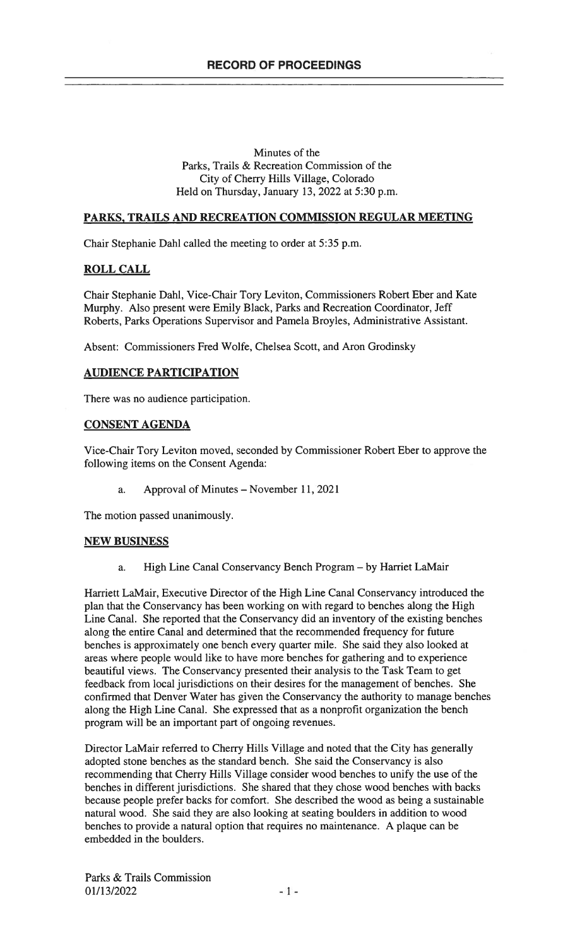### Minutes of the Parks, Trails & Recreation Commission of the City of Cherry Hills Village, Colorado Held on Thursday, January 13, 2022 at 5:30 p.m.

## PARKS, TRAILS AND RECREATION COMMISSION REGULAR MEETING

Chair Stephanie Dahl called the meeting to order at 5:35 p.m.

# ROLL CALL

Chair Stephanie Dahl, Vice-Chair Tory Leviton, Commissioners Robert Eber and Kate Murphy. Also present were Emily Black, Parks and Recreation Coordinator, Jeff Roberts, Parks Operations Supervisor and Pamela Broyles, Administrative Assistant.

Absent: Commissioners Fred Wolfe, Chelsea Scott, and Aron Grodinsky

## AUDIENCE PARTICIPATION

There was no audience participation.

## CONSENT AGENDA

Vice-Chair Tory Leviton moved, seconded by Commissioner Robert Eber to approve the following items on the Consent Agenda:

a. Approval of Minutes — November 11, 2021

The motion passed unanimously.

### NEW BUSINESS

a. High Line Canal Conservancy Bench Program — by Harriet LaMair

Harriett LaMair, Executive Director of the High Line Canal Conservancy introduced the plan that the Conservancy has been working on with regard to benches along the High Line Canal. She reported that the Conservancy did an inventory of the existing benches along the entire Canal and determined that the recommended frequency for future benches is approximately one bench every quarter mile. She said they also looked at areas where people would like to have more benches for gathering and to experience beautiful views. The Conservancy presented their analysis to the Task Team to get feedback from local jurisdictions on their desires for the management of benches. She confirmed that Denver Water has given the Conservancy the authority to manage benches along the High Line Canal. She expressed that as a nonprofit organization the bench program will be an important part of ongoing revenues.

Director LaMair referred to Cherry Hills Village and noted that the City has generally adopted stone benches as the standard bench. She said the Conservancy is also recommending that Cherry Hills Village consider wood benches to unify the use of the benches in different jurisdictions. She shared that they chose wood benches with backs because people prefer backs for comfort. She described the wood as being a sustainable natural wood. She said they are also looking at seating boulders in addition to wood benches to provide a natural option that requires no maintenance. A plaque can be embedded in the boulders.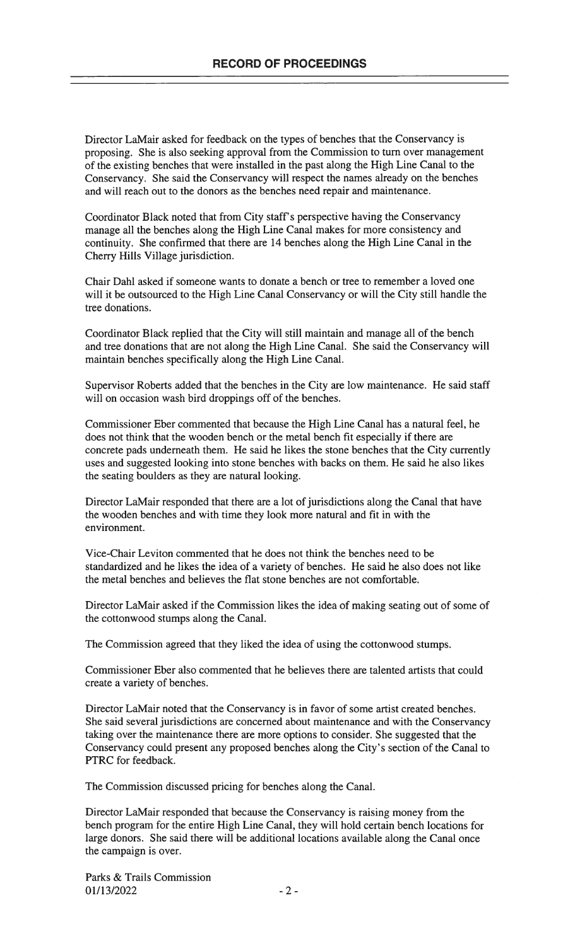Director LaMair asked for feedback on the types of benches that the Conservancy is proposing. She is also seeking approval from the Commission to turn over management of the existing benches that were installed in the past along the High Line Canal to the Conservancy. She said the Conservancy will respect the names already on the benches and will reach out to the donors as the benches need repair and maintenance.

Coordinator Black noted that from City staff's perspective having the Conservancy manage all the benches along the High Line Canal makes for more consistency and continuity. She confirmed that there are 14 benches along the High Line Canal in the Cherry Hills Village jurisdiction.

Chair Dahi asked if someone wants to donate a bench or tree to remember a loved one will it be outsourced to the High Line Canal Conservancy or will the City still handle the tree donations.

Coordinator Black replied that the City will still maintain and manage all of the bench and tree donations that are not along the High Line Canal. She said the Conservancy will maintain benches specifically along the High Line Canal.

Supervisor Roberts added that the benches in the City are low maintenance. He said staff will on occasion wash bird droppings off of the benches.

Commissioner Eber commented that because the High Line Canal has a natural feel, he does not think that the wooden bench or the metal bench fit especially if there are concrete pads underneath them. He said he likes the stone benches that the City currently uses and suggested looking into stone benches with backs on them. He said he also likes the seating boulders as they are natural looking.

Director LaMair responded that there are a lot of jurisdictions along the Canal that have the wooden benches and with time they look more natural and fit in with the environment.

Vice-Chair Leviton commented that he does not think the benches need to be standardized and he likes the idea of a variety of benches. He said he also does not like the metal benches and believes the flat stone benches are not comfortable.

Director LaMair asked if the Commission likes the idea of making seating out of some of the cottonwood stumps along the Canal.

The Commission agreed that they liked the idea of using the cottonwood stumps.

Commissioner Eber also commented that he believes there are talented artists that could create a variety of benches.

Director LaMair noted that the Conservancy is in favor of some artist created benches. She said several jurisdictions are concerned about maintenance and with the Conservancy taking over the maintenance there are more options to consider. She suggested that the Conservancy could present any proposed benches along the City's section of the Canal to PTRC for feedback.

The Commission discussed pricing for benches along the Canal.

Director LaMair responded that because the Conservancy is raising money from the bench program for the entire High Line Canal, they will hold certain bench locations for large donors. She said there will be additional locations available along the Canal once the campaign is over.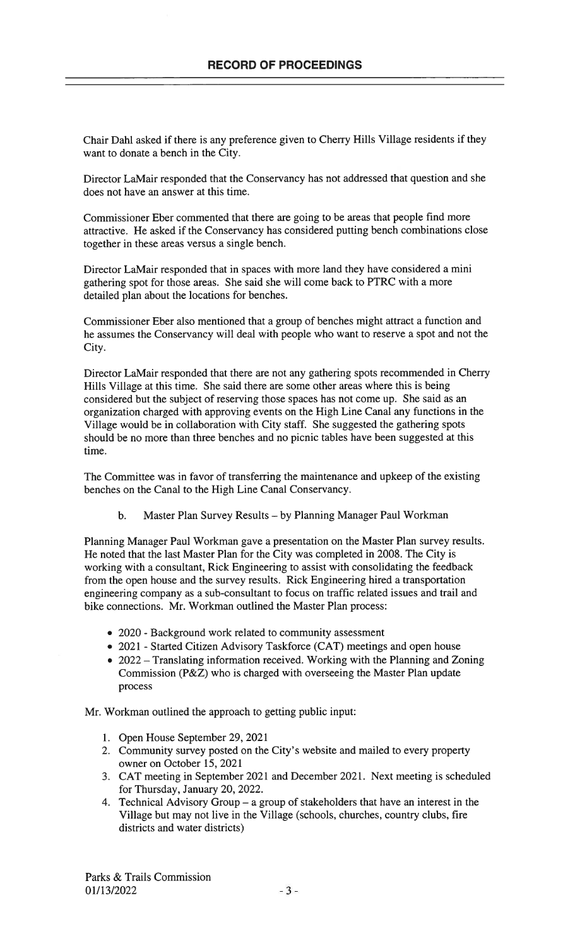Chair Dahi asked if there is any preference given to Cherry Hills Village residents if they want to donate a bench in the City.

Director LaMair responded that the Conservancy has not addressed that question and she does not have an answer at this time.

Commissioner Eber commented that there are going to be areas that people find more attractive. He asked if the Conservancy has considered putting bench combinations close together in these areas versus a single bench.

Director LaMair responded that in spaces with more land they have considered a mini gathering spot for those areas. She said she will come back to PTRC with a more detailed plan about the locations for benches.

Commissioner Eber also mentioned that a group of benches might attract a function and he assumes the Conservancy will deal with people who want to reserve a spot and not the City.

Director LaMair responded that there are not any gathering spots recommended in Cherry Hills Village at this time. She said there are some other areas where this is being considered but the subject of reserving those spaces has not come up. She said as an organization charged with approving events on the High Line Canal any functions in the Village would be in collaboration with City staff. She suggested the gathering spots should be no more than three benches and no picnic tables have been suggested at this time.

The Committee was in favor of transferring the maintenance and upkeep of the existing benches on the Canal to the High Line Canal Conservancy.

b. Master Plan Survey Results — by Planning Manager Paul Workman

Planning Manager Paul Workman gave a presentation on the Master Plan survey results. He noted that the last Master Plan for the City was completed in 2008. The City is working with a consultant, Rick Engineering to assist with consolidating the feedback from the open house and the survey results. Rick Engineering hired a transportation engineering company as a sub-consultant to focus on traffic related issues and trail and bike connections. Mr. Workman outlined the Master Plan process:

- 2020 Background work related to community assessment
- 2021 Started Citizen Advisory Taskforce (CAT) meetings and open house
- 2022 Translating information received. Working with the Planning and Zoning Commission (P&Z) who is charged with overseeing the Master Plan update process

Mr. Workman outlined the approach to getting public input:

- 1. Open House September 29, 2021
- 2. Community survey posted on the City's website and mailed to every property owner on October 15, 2021
- 3. CAT meeting in September 2021 and December 2021. Next meeting is scheduled for Thursday, January 20, 2022.
- 4. Technical Advisory Group a group of stakeholders that have an interest in the Village but may not live in the Village (schools, churches, country clubs, fire districts and water districts)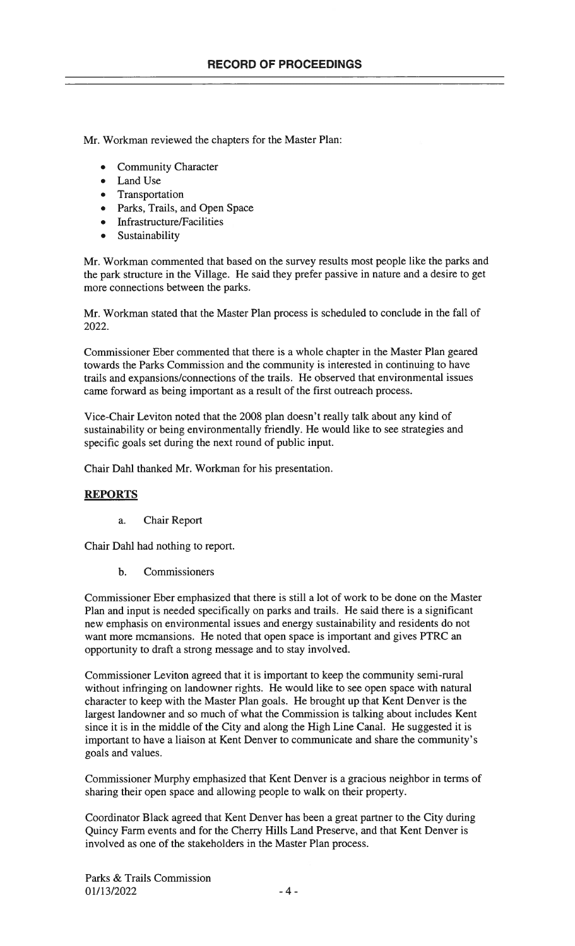Mr. Workman reviewed the chapters for the Master Plan:

- Community Character
- Land Use
- Transportation
- Parks, Trails, and Open Space
- Infrastructure/Facilities
- Sustainability

Mr. Workman commented that based on the survey results most people like the parks and the park structure in the Village. He said they prefer passive in nature and a desire to get more connections between the parks.

Mr. Workman stated that the Master Plan process is scheduled to conclude in the fall of 2022.

Commissioner Eber commented that there is a whole chapter in the Master Plan geared towards the Parks Commission and the community is interested in continuing to have trails and expansions/connections of the trails. He observed that environmental issues came forward as being important as a result of the first outreach process.

Vice-Chair Leviton noted that the 2008 plan doesn't really talk about any kind of sustainability or being environmentally friendly. He would like to see strategies and specific goals set during the next round of public input.

Chair Dahi thanked Mr. Workman for his presentation.

### **REPORTS**

a. Chair Report

Chair Dahi had nothing to report.

b. Commissioners

Commissioner Eber emphasized that there is still a lot of work to be done on the Master Plan and input is needed specifically on parks and trails. He said there is a significant new emphasis on environmental issues and energy sustainability and residents do not want more mcmansions. He noted that open space is important and gives PTRC an opportunity to draft a strong message and to stay involved.

Commissioner Leviton agreed that it is important to keep the community semi-rural without infringing on landowner rights. He would like to see open space with natural character to keep with the Master Plan goals. He brought up that Kent Denver is the largest landowner and so much of what the Commission is talking about includes Kent since it is in the middle of the City and along the High Line Canal. He suggested it is important to have a liaison at Kent Denver to communicate and share the community's goals and values.

Commissioner Murphy emphasized that Kent Denver is a gracious neighbor in terms of sharing their open space and allowing people to walk on their property.

Coordinator Black agreed that Kent Denver has been a great partner to the City during Quincy Farm events and for the Cherry Hills Land Preserve, and that Kent Denver is involved as one of the stakeholders in the Master Plan process.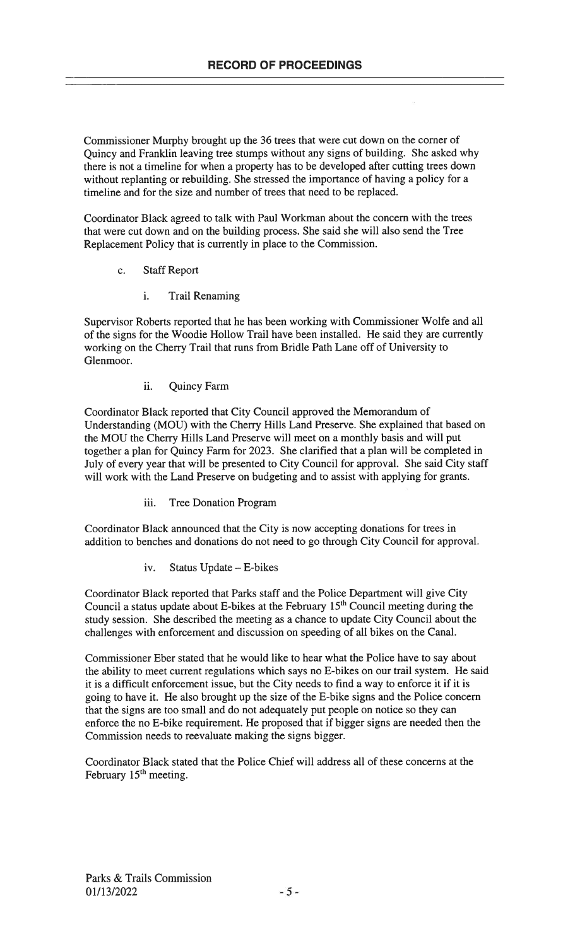Commissioner Murphy brought up the 36 trees that were cut down on the corner of Quincy and Franklin leaving tree stumps without any signs of building. She asked why there is not a timeline for when a property has to be developed after cutting trees down without replanting or rebuilding. She stressed the importance of having a policy for a timeline and for the size and number of trees that need to be replaced.

Coordinator Black agreed to talk with Paul Workman about the concern with the trees that were cut down and on the building process. She said she will also send the Tree Replacement Policy that is currently in place to the Commission.

- c. Staff Report
	- i. Trail Renaming

Supervisor Roberts reported that he has been working with Commissioner Wolfe and all of the signs for the Woodie Hollow Trail have been installed. He said they are currently working on the Cherry Trail that runs from Bridle Path Lane off of University to Glenmoor.

ii. Quincy Farm

Coordinator Black reported that City Council approved the Memorandum of Understanding (MOU) with the Cherry Hills Land Preserve. She explained that based on the MOU the Cherry Hills Land Preserve will meet on a monthly basis and will put together a plan for Quincy Farm for 2023. She clarified that a plan will be completed in July of every year that will be presented to City Council for approval. She said City staff will work with the Land Preserve on budgeting and to assist with applying for grants.

iii. Tree Donation Program

Coordinator Black announced that the City is now accepting donations for trees in addition to benches and donations do not need to go through City Council for approval.

iv. Status Update — E-bikes

Coordinator Black reported that Parks staff and the Police Department will give City Council a status update about E-bikes at the February 15<sup>th</sup> Council meeting during the study session. She described the meeting as a chance to update City Council about the challenges with enforcement and discussion on speeding of all bikes on the Canal.

Commissioner Eber stated that he would like to hear what the Police have to say about the ability to meet current regulations which says no E-bikes on our trail system. He said it is a difficult enforcement issue, but the City needs to find a way to enforce it if it is going to have it. He also brought up the size of the E-bike signs and the Police concern that the signs are too small and do not adequately put people on notice so they can enforce the no E-bike requirement. He proposed that if bigger signs are needed then the Commission needs to reevaluate making the signs bigger.

Coordinator Black stated that the Police Chief will address all of these concerns at the February 15<sup>th</sup> meeting.